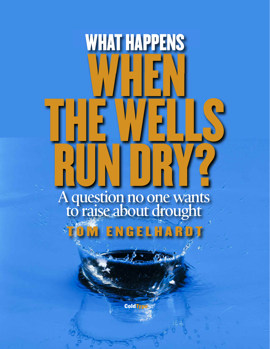# WHEN **THE WELLS RUN DRY?** A question no one wants to raise about drought **WHAT HAPPENS**

**T O M E N G E L H A R D T**

**ColdT**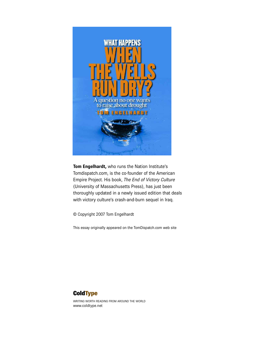

**Tom Engelhardt,** who runs the Nation Institute's Tomdispatch.com, is the co-founder of the American Empire Project. His book, *The End of Victory Culture* (University of Massachusetts Press), has just been thoroughly updated in a newly issued edition that deals with victory culture's crash-and-burn sequel in Iraq.

© Copyright 2007 Tom Engelhardt

This essay originally appeared on the TomDispatch.com web site



WRITING WORTH READING FROM AROUND THE WORLD [www.coldtype.net](http://www.coldtype.net)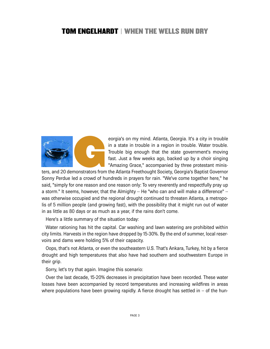

eorgia's on my mind. Atlanta, Georgia. It's a city in trouble<br>in a state in trouble in a region in trouble. Water trouble.<br>Trouble big enough that the state government's moving<br>fast. Just a few weeks ago, backed up by a ch in a state in trouble in a region in trouble. Water trouble. Trouble big enough that the state government's moving fast. Just a few weeks ago, backed up by a choir singing "Amazing Grace," accompanied by three protestant minis-

ters, and 20 demonstrators from the Atlanta Freethought Society, Georgia's Baptist Governor Sonny Perdue led a crowd of hundreds in prayers for rain. "We've come together here," he said, "simply for one reason and one reason only: To very reverently and respectfully pray up a storm." It seems, however, that the Almighty -- He "who can and will make a difference" - was otherwise occupied and the regional drought continued to threaten Atlanta, a metropolis of 5 million people (and growing fast), with the possibility that it might run out of water in as little as 80 days or as much as a year, if the rains don't come.

Here's a little summary of the situation today:

Water rationing has hit the capital. Car washing and lawn watering are prohibited within city limits. Harvests in the region have dropped by 15-30%. By the end of summer, local reservoirs and dams were holding 5% of their capacity.

Oops, that's not Atlanta, or even the southeastern U.S. That's Ankara, Turkey, hit by a fierce drought and high temperatures that also have had southern and southwestern Europe in their grip.

Sorry, let's try that again. Imagine this scenario:

Over the last decade, 15-20% decreases in precipitation have been recorded. These water losses have been accompanied by record temperatures and increasing wildfires in areas where populations have been growing rapidly. A fierce drought has settled in -- of the hun-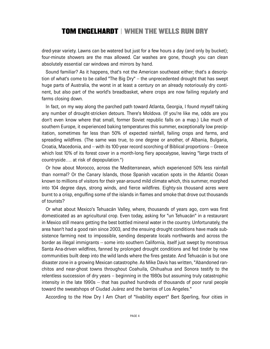dred-year variety. Lawns can be watered but just for a few hours a day (and only by bucket); four-minute showers are the max allowed. Car washes are gone, though you can clean absolutely essential car windows and mirrors by hand.

Sound familiar? As it happens, that's not the American southeast either; that's a description of what's come to be called "The Big Dry" -- the unprecedented drought that has swept huge parts of Australia, the worst in at least a century on an already notoriously dry continent, but also part of the world's breadbasket, where crops are now failing regularly and farms closing down.

In fact, on my way along the parched path toward Atlanta, Georgia, I found myself taking any number of drought-stricken detours. There's Moldova. (If you're like me, odds are you don't even know where that small, former Soviet republic falls on a map.) Like much of southern Europe, it experienced baking temperatures this summer, exceptionally low precipitation, sometimes far less than 50% of expected rainfall, failing crops and farms, and spreading wildfires. (The same was true, to one degree or another, of Albania, Bulgaria, Croatia, Macedonia, and -- with its 100-year record scorching of Biblical proportions -- Greece which lost 10% of its forest cover in a month-long fiery apocalypse, leaving "large tracts of countryside…. at risk of depopulation.")

Or how about Morocco, across the Mediterranean, which experienced 50% less rainfall than normal? Or the Canary Islands, those Spanish vacation spots in the Atlantic Ocean known to millions of visitors for their year-around mild climate which, this summer, morphed into 104 degree days, strong winds, and fierce wildfires. Eighty-six thousand acres were burnt to a crisp, engulfing some of the islands in flames and smoke that drove out thousands of tourists?

Or what about Mexico's Tehuacán Valley, where, thousands of years ago, corn was first domesticated as an agricultural crop. Even today, asking for "un Tehuacán" in a restaurant in Mexico still means getting the best bottled mineral water in the country. Unfortunately, the area hasn't had a good rain since 2003, and the ensuing drought conditions have made subsistence farming next to impossible, sending desperate locals northwards and across the border as illegal immigrants -- some into southern California, itself just swept by monstrous Santa Ana-driven wildfires, fanned by prolonged drought conditions and fed tinder by new communities built deep into the wild lands where the fires gestate. And Tehuacán is but one disaster zone in a growing Mexican catastrophe. As Mike Davis has written, "Abandoned ranchitos and near-ghost towns throughout Coahuila, Chihuahua and Sonora testify to the relentless succession of dry years -- beginning in the 1980s but assuming truly catastrophic intensity in the late 1990s -- that has pushed hundreds of thousands of poor rural people toward the sweatshops of Ciudad Juárez and the barrios of Los Angeles."

According to the How Dry I Am Chart of "livability expert" Bert Sperling, four cities in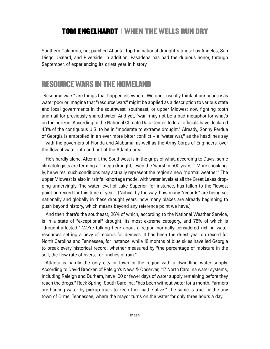Southern California, not parched Atlanta, top the national drought ratings: Los Angeles, San Diego, Oxnard, and Riverside. In addition, Pasadena has had the dubious honor, through September, of experiencing its driest year in history.

#### **RESOURCE WARS IN THE HOMELAND**

"Resource wars" are things that happen elsewhere. We don't usually think of our country as water poor or imagine that "resource wars" might be applied as a description to various state and local governments in the southwest, southeast, or upper Midwest now fighting tooth and nail for previously shared water. And yet, "war" may not be a bad metaphor for what's on the horizon. According to the National Climate Data Center, federal officials have declared 43% of the contiguous U.S. to be in "moderate to extreme drought." Already, Sonny Perdue of Georgia is embroiled in an ever more bitter conflict -- a "water war," as the headlines say -- with the governors of Florida and Alabama, as well as the Army Corps of Engineers, over the flow of water into and out of the Atlanta area.

He's hardly alone. After all, the Southwest is in the grips of what, according to Davis, some climatologists are terming a "'mega-drought,' even the 'worst in 500 years.'" More shockingly, he writes, such conditions may actually represent the region's new "normal weather." The upper Midwest is also in rainfall-shortage mode, with water levels at all the Great Lakes dropping unnervingly. The water level of Lake Superior, for instance, has fallen to the "lowest point on record for this time of year." (Notice, by the way, how many "records" are being set nationally and globally in these drought years; how many places are already beginning to push beyond history, which means beyond any reference point we have.)

And then there's the southeast, 26% of which, according to the National Weather Service, is in a state of "exceptional" drought, its most extreme category, and 78% of which is "drought-affected." We're talking here about a region normally considered rich in water resources setting a bevy of records for dryness. It has been the driest year on record for North Carolina and Tennessee, for instance, while 18 months of blue skies have led Georgia to break every historical record, whether measured by "the percentage of moisture in the soil, the flow rate of rivers, [or] inches of rain."

Atlanta is hardly the only city or town in the region with a dwindling water supply. According to David Bracken of Raleigh's News & Observer, "17 North Carolina water systems, including Raleigh and Durham, have 100 or fewer days of water supply remaining before they reach the dregs." Rock Spring, South Carolina, "has been without water for a month. Farmers are hauling water by pickup truck to keep their cattle alive." The same is true for the tiny town of Orme, Tennessee, where the mayor turns on the water for only three hours a day.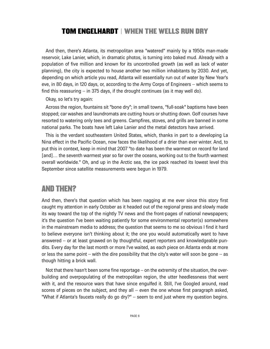And then, there's Atlanta, its metropolitan area "watered" mainly by a 1950s man-made reservoir, Lake Lanier, which, in dramatic photos, is turning into baked mud. Already with a population of five million and known for its uncontrolled growth (as well as lack of water planning), the city is expected to house another two million inhabitants by 2030. And yet, depending on which article you read, Atlanta will essentially run out of water by New Year's eve, in 80 days, in 120 days, or, according to the Army Corps of Engineers -- which seems to find this reassuring -- in 375 days, if the drought continues (as it may well do).

Okay, so let's try again:

Across the region, fountains sit "bone dry"; in small towns, "full-soak" baptisms have been stopped; car washes and laundromats are cutting hours or shutting down. Golf courses have resorted to watering only tees and greens. Campfires, stoves, and grills are banned in some national parks. The boats have left Lake Lanier and the metal detectors have arrived.

This is the verdant southeastern United States, which, thanks in part to a developing La Nina effect in the Pacific Ocean, now faces the likelihood of a drier than ever winter. And, to put this in context, keep in mind that 2007 "to date has been the warmest on record for land [and]… the seventh warmest year so far over the oceans, working out to the fourth warmest overall worldwide." Oh, and up in the Arctic sea, the ice pack reached its lowest level this September since satellite measurements were begun in 1979.

#### **AND THEN?**

And then, there's that question which has been nagging at me ever since this story first caught my attention in early October as it headed out of the regional press and slowly made its way toward the top of the nightly TV news and the front-pages of national newspapers; it's the question I've been waiting patiently for some environmental reporter(s) somewhere in the mainstream media to address; the question that seems to me so obvious I find it hard to believe everyone isn't thinking about it; the one you would automatically want to have answered -- or at least gnawed on by thoughtful, expert reporters and knowledgeable pundits. Every day for the last month or more I've waited, as each piece on Atlanta ends at more or less the same point -- with the dire possibility that the city's water will soon be gone -- as though hitting a brick wall.

Not that there hasn't been some fine reportage -- on the extremity of the situation, the overbuilding and overpopulating of the metropolitan region, the utter heedlessness that went with it, and the resource wars that have since engulfed it. Still, I've Googled around, read scores of pieces on the subject, and they all -- even the one whose first paragraph asked, "What if Atlanta's faucets really do go dry?" -- seem to end just where my question begins.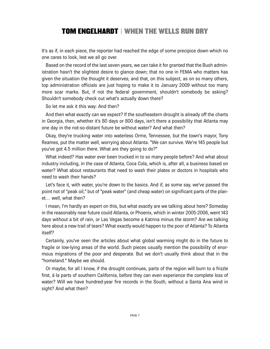It's as if, in each piece, the reporter had reached the edge of some precipice down which no one cares to look, lest we all go over.

Based on the record of the last seven years, we can take it for granted that the Bush administration hasn't the slightest desire to glance down; that no one in FEMA who matters has given the situation the thought it deserves; and that, on this subject, as on so many others, top administration officials are just hoping to make it to January 2009 without too many more scar marks. But, if not the federal government, shouldn't somebody be asking? Shouldn't somebody check out what's actually down there?

So let me ask it this way: And then?

And then what exactly can we expect? If the southeastern drought is already off the charts in Georgia, then, whether it's 80 days or 800 days, isn't there a possibility that Atlanta may one day in the not-so-distant future be without water? And what then?

Okay, they're trucking water into waterless Orme, Tennessee, but the town's mayor, Tony Reames, put the matter well, worrying about Atlanta. "We can survive. We're 145 people but you've got 4.5 million there. What are they going to do?"

What indeed? Has water ever been trucked in to so many people before? And what about industry including, in the case of Atlanta, Coca Cola, which is, after all, a business based on water? What about restaurants that need to wash their plates or doctors in hospitals who need to wash their hands?

Let's face it, with water, you're down to the basics. And if, as some say, we've passed the point not of "peak oil," but of "peak water" (and cheap water) on significant parts of the planet… well, what then?

I mean, I'm hardly an expert on this, but what exactly are we talking about here? Someday in the reasonably near future could Atlanta, or Phoenix, which in winter 2005-2006, went 143 days without a bit of rain, or Las Vegas become a Katrina minus the storm? Are we talking here about a new trail of tears? What exactly would happen to the poor of Atlanta? To Atlanta itself?

Certainly, you've seen the articles about what global warming might do in the future to fragile or low-lying areas of the world. Such pieces usually mention the possibility of enormous migrations of the poor and desperate. But we don't usually think about that in the "homeland." Maybe we should.

Or maybe, for all I know, if the drought continues, parts of the region will burn to a frizzle first, à la parts of southern California, before they can even experience the complete loss of water? Will we have hundred-year fire records in the South, without a Santa Ana wind in sight? And what then?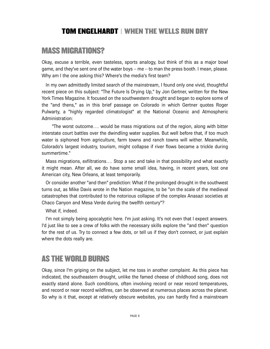#### **MASS MIGRATIONS?**

Okay, excuse a terrible, even tasteless, sports analogy, but think of this as a major bowl game, and they've sent one of the water boys -- me -- to man the press booth. I mean, please. Why am I the one asking this? Where's the media's first team?

In my own admittedly limited search of the mainstream, I found only one vivid, thoughtful recent piece on this subject: "The Future Is Drying Up," by Jon Gertner, written for the New York Times Magazine. It focused on the southwestern drought and began to explore some of the "and thens," as in this brief passage on Colorado in which Gertner quotes Roger Pulwarty, a "highly regarded climatologist" at the National Oceanic and Atmospheric Administration:

"The worst outcome…. would be mass migrations out of the region, along with bitter interstate court battles over the dwindling water supplies. But well before that, if too much water is siphoned from agriculture, farm towns and ranch towns will wither. Meanwhile, Colorado's largest industry, tourism, might collapse if river flows became a trickle during summertime."

Mass migrations, exfiltrations…. Stop a sec and take in that possibility and what exactly it might mean. After all, we do have some small idea, having, in recent years, lost one American city, New Orleans, at least temporarily.

Or consider another "and then" prediction: What if the prolonged drought in the southwest turns out, as Mike Davis wrote in the Nation magazine, to be "on the scale of the medieval catastrophes that contributed to the notorious collapse of the complex Anasazi societies at Chaco Canyon and Mesa Verde during the twelfth century"?

What if, indeed.

I'm not simply being apocalyptic here. I'm just asking. It's not even that I expect answers. I'd just like to see a crew of folks with the necessary skills explore the "and then" question for the rest of us. Try to connect a few dots, or tell us if they don't connect, or just explain where the dots really are.

# **AS THE WORLD BURNS**

Okay, since I'm griping on the subject, let me toss in another complaint. As this piece has indicated, the southeastern drought, unlike the famed cheese of childhood song, does not exactly stand alone. Such conditions, often involving record or near record temperatures, and record or near record wildfires, can be observed at numerous places across the planet. So why is it that, except at relatively obscure websites, you can hardly find a mainstream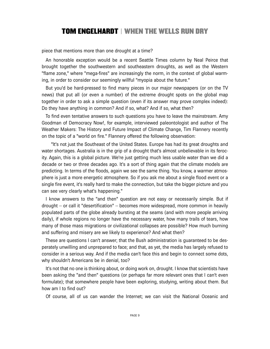piece that mentions more than one drought at a time?

An honorable exception would be a recent Seattle Times column by Neal Peirce that brought together the southwestern and southeastern droughts, as well as the Western "flame zone," where "mega-fires" are increasingly the norm, in the context of global warming, in order to consider our seemingly willful "myopia about the future."

But you'd be hard-pressed to find many pieces in our major newspapers (or on the TV news) that put all (or even a number) of the extreme drought spots on the global map together in order to ask a simple question (even if its answer may prove complex indeed): Do they have anything in common? And if so, what? And if so, what then?

To find even tentative answers to such questions you have to leave the mainstream. Amy Goodman of Democracy Now!, for example, interviewed paleontologist and author of The Weather Makers: The History and Future Impact of Climate Change, Tim Flannery recently on the topic of a "world on fire." Flannery offered the following observation:

"It's not just the Southeast of the United States. Europe has had its great droughts and water shortages. Australia is in the grip of a drought that's almost unbelievable in its ferocity. Again, this is a global picture. We're just getting much less usable water than we did a decade or two or three decades ago. It's a sort of thing again that the climate models are predicting. In terms of the floods, again we see the same thing. You know, a warmer atmosphere is just a more energetic atmosphere. So if you ask me about a single flood event or a single fire event, it's really hard to make the connection, but take the bigger picture and you can see very clearly what's happening."

I know answers to the "and then" question are not easy or necessarily simple. But if drought -- or call it "desertification" -- becomes more widespread, more common in heavily populated parts of the globe already bursting at the seams (and with more people arriving daily), if whole regions no longer have the necessary water, how many trails of tears, how many of those mass migrations or civilizational collapses are possible? How much burning and suffering and misery are we likely to experience? And what then?

These are questions I can't answer; that the Bush administration is guaranteed to be desperately unwilling and unprepared to face; and that, as yet, the media has largely refused to consider in a serious way. And if the media can't face this and begin to connect some dots, why shouldn't Americans be in denial, too?

It's not that no one is thinking about, or doing work on, drought. I know that scientists have been asking the "and then" questions (or perhaps far more relevant ones that I can't even formulate); that somewhere people have been exploring, studying, writing about them. But how am I to find out?

Of course, all of us can wander the Internet; we can visit the National Oceanic and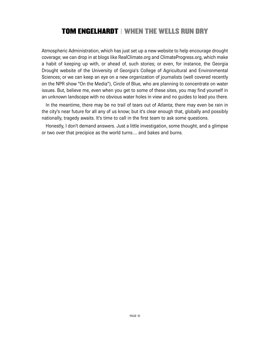Atmospheric Administration, which has just set up a new website to help encourage drought coverage; we can drop in at blogs like RealClimate.org and ClimateProgress.org, which make a habit of keeping up with, or ahead of, such stories; or even, for instance, the Georgia Drought website of the University of Georgia's College of Agricultural and Environmental Sciences; or we can keep an eye on a new organization of journalists (well covered recently on the NPR show "On the Media"), Circle of Blue, who are planning to concentrate on water issues. But, believe me, even when you get to some of these sites, you may find yourself in an unknown landscape with no obvious water holes in view and no guides to lead you there.

In the meantime, there may be no trail of tears out of Atlanta; there may even be rain in the city's near future for all any of us know; but it's clear enough that, globally and possibly nationally, tragedy awaits. It's time to call in the first team to ask some questions.

Honestly, I don't demand answers. Just a little investigation, some thought, and a glimpse or two over that precipice as the world turns.... and bakes and burns.